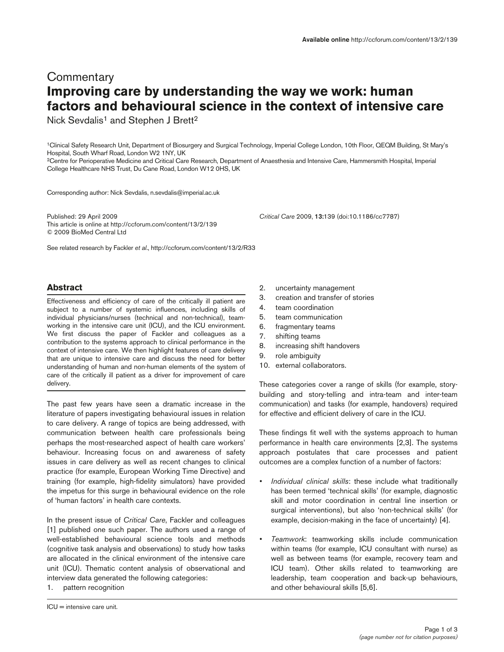# **Commentary Improving care by understanding the way we work: human factors and behavioural science in the context of intensive care**

Nick Sevdalis<sup>1</sup> and Stephen J Brett<sup>2</sup>

1Clinical Safety Research Unit, Department of Biosurgery and Surgical Technology, Imperial College London, 10th Floor, QEQM Building, St Mary's Hospital, South Wharf Road, London W2 1NY, UK

2Centre for Perioperative Medicine and Critical Care Research, Department of Anaesthesia and Intensive Care, Hammersmith Hospital, Imperial College Healthcare NHS Trust, Du Cane Road, London W12 0HS, UK

Corresponding author: Nick Sevdalis, n.sevdalis@imperial.ac.uk

Published: 29 April 2009 *Critical Care* 2009, **13:**139 (doi:10.1186/cc7787) This article is online at http://ccforum.com/content/13/2/139 © 2009 BioMed Central Ltd

See related research by Fackler *et al*., http://ccforum.com/content/13/2/R33

# **Abstract**

Effectiveness and efficiency of care of the critically ill patient are subject to a number of systemic influences, including skills of individual physicians/nurses (technical and non-technical), teamworking in the intensive care unit (ICU), and the ICU environment. We first discuss the paper of Fackler and colleagues as a contribution to the systems approach to clinical performance in the context of intensive care. We then highlight features of care delivery that are unique to intensive care and discuss the need for better understanding of human and non-human elements of the system of care of the critically ill patient as a driver for improvement of care delivery.

The past few years have seen a dramatic increase in the literature of papers investigating behavioural issues in relation to care delivery. A range of topics are being addressed, with communication between health care professionals being perhaps the most-researched aspect of health care workers' behaviour. Increasing focus on and awareness of safety issues in care delivery as well as recent changes to clinical practice (for example, European Working Time Directive) and training (for example, high-fidelity simulators) have provided the impetus for this surge in behavioural evidence on the role of 'human factors' in health care contexts.

In the present issue of *Critical Care*, Fackler and colleagues [1] published one such paper. The authors used a range of well-established behavioural science tools and methods (cognitive task analysis and observations) to study how tasks are allocated in the clinical environment of the intensive care unit (ICU). Thematic content analysis of observational and interview data generated the following categories:

1. pattern recognition

- 2. uncertainty management
- 3. creation and transfer of stories
	- 4. team coordination
	- 5. team communication
- 6. fragmentary teams
- 7. shifting teams
- 8. increasing shift handovers
- 9. role ambiguity
- 10. external collaborators.

These categories cover a range of skills (for example, storybuilding and story-telling and intra-team and inter-team communication) and tasks (for example, handovers) required for effective and efficient delivery of care in the ICU.

These findings fit well with the systems approach to human performance in health care environments [2,3]. The systems approach postulates that care processes and patient outcomes are a complex function of a number of factors:

- *Individual clinical skills*: these include what traditionally has been termed 'technical skills' (for example, diagnostic skill and motor coordination in central line insertion or surgical interventions), but also 'non-technical skills' (for example, decision-making in the face of uncertainty) [4].
- *Teamwork*: teamworking skills include communication within teams (for example, ICU consultant with nurse) as well as between teams (for example, recovery team and ICU team). Other skills related to teamworking are leadership, team cooperation and back-up behaviours, and other behavioural skills [5,6].

ICU = intensive care unit.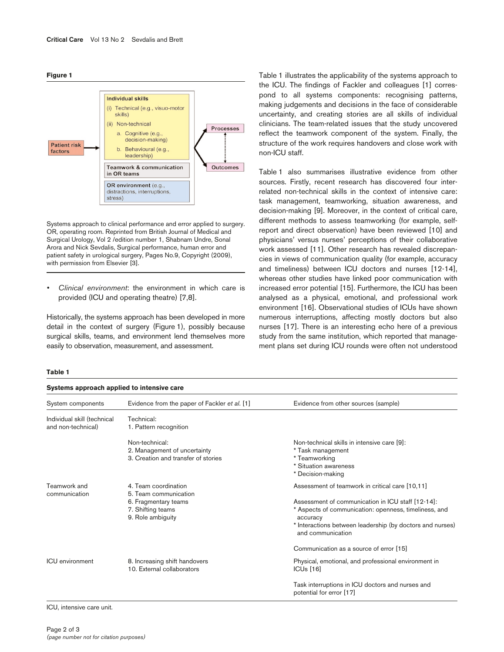**Figure 1**

**Table 1**



Systems approach to clinical performance and error applied to surgery. OR, operating room. Reprinted from British Journal of Medical and Surgical Urology, Vol 2 /edition number 1, Shabnam Undre, Sonal Arora and Nick Sevdalis, Surgical performance, human error and patient safety in urological surgery, Pages No.9, Copyright (2009), with permission from Elsevier [3].

*• Clinical environment*: the environment in which care is provided (ICU and operating theatre) [7,8].

Historically, the systems approach has been developed in more detail in the context of surgery (Figure 1), possibly because surgical skills, teams, and environment lend themselves more easily to observation, measurement, and assessment.

Table 1 illustrates the applicability of the systems approach to the ICU. The findings of Fackler and colleagues [1] correspond to all systems components: recognising patterns, making judgements and decisions in the face of considerable uncertainty, and creating stories are all skills of individual clinicians. The team-related issues that the study uncovered reflect the teamwork component of the system. Finally, the structure of the work requires handovers and close work with non-ICU staff.

Table 1 also summarises illustrative evidence from other sources. Firstly, recent research has discovered four interrelated non-technical skills in the context of intensive care: task management, teamworking, situation awareness, and decision-making [9]. Moreover, in the context of critical care, different methods to assess teamworking (for example, selfreport and direct observation) have been reviewed [10] and physicians' versus nurses' perceptions of their collaborative work assessed [11]. Other research has revealed discrepancies in views of communication quality (for example, accuracy and timeliness) between ICU doctors and nurses [12-14], whereas other studies have linked poor communication with increased error potential [15]. Furthermore, the ICU has been analysed as a physical, emotional, and professional work environment [16]. Observational studies of ICUs have shown numerous interruptions, affecting mostly doctors but also nurses [17]. There is an interesting echo here of a previous study from the same institution, which reported that management plans set during ICU rounds were often not understood

| Systems approach applied to intensive care        |                                                                                                                 |                                                                                                                                                                                                                                                             |
|---------------------------------------------------|-----------------------------------------------------------------------------------------------------------------|-------------------------------------------------------------------------------------------------------------------------------------------------------------------------------------------------------------------------------------------------------------|
| System components                                 | Evidence from the paper of Fackler et al. [1]                                                                   | Evidence from other sources (sample)                                                                                                                                                                                                                        |
| Individual skill (technical<br>and non-technical) | Technical:<br>1. Pattern recognition                                                                            |                                                                                                                                                                                                                                                             |
|                                                   | Non-technical:<br>2. Management of uncertainty<br>3. Creation and transfer of stories                           | Non-technical skills in intensive care [9]:<br>* Task management<br>* Teamworking<br>* Situation awareness<br>* Decision-making                                                                                                                             |
| Teamwork and<br>communication                     | 4. Team coordination<br>5. Team communication<br>6. Fragmentary teams<br>7. Shifting teams<br>9. Role ambiguity | Assessment of teamwork in critical care [10,11]<br>Assessment of communication in ICU staff [12-14]:<br>* Aspects of communication: openness, timeliness, and<br>accuracy<br>* Interactions between leadership (by doctors and nurses)<br>and communication |
| <b>ICU</b> environment                            | 8. Increasing shift handovers<br>10. External collaborators                                                     | Communication as a source of error [15]<br>Physical, emotional, and professional environment in<br>ICUs [16]<br>Task interruptions in ICU doctors and nurses and<br>potential for error [17]                                                                |

ICU, intensive care unit.